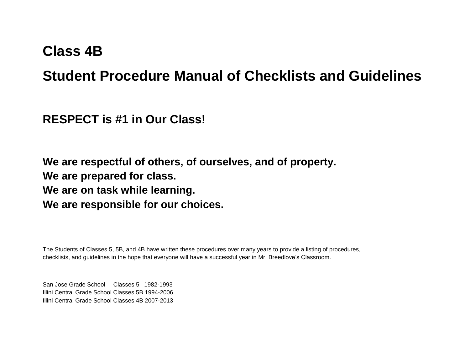# **Class 4B**

# **Student Procedure Manual of Checklists and Guidelines**

**RESPECT is #1 in Our Class!**

**We are respectful of others, of ourselves, and of property. We are prepared for class. We are on task while learning. We are responsible for our choices.**

The Students of Classes 5, 5B, and 4B have written these procedures over many years to provide a listing of procedures, checklists, and guidelines in the hope that everyone will have a successful year in Mr. Breedlove's Classroom.

San Jose Grade School Classes 5 1982-1993 Illini Central Grade School Classes 5B 1994-2006 Illini Central Grade School Classes 4B 2007-2013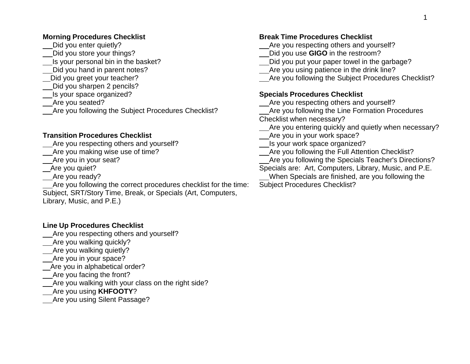#### **Morning Procedures Checklist**

- Did you enter quietly?
- Did you store your things?
- Is your personal bin in the basket?
- Did you hand in parent notes?
- Did you greet your teacher?
- Did you sharpen 2 pencils?
- Is your space organized?
- Are you seated?
- Are you following the Subject Procedures Checklist?

#### **Transition Procedures Checklist**

- Are you respecting others and yourself?
- Are you making wise use of time?
- Are you in your seat?
- Are you quiet?
- Are you ready?
- Are you following the correct procedures checklist for the time: Subject, SRT/Story Time, Break, or Specials (Art, Computers, Library, Music, and P.E.)

### **Line Up Procedures Checklist**

- Are you respecting others and yourself?
- Are you walking quickly?
- Are you walking quietly?
- Are you in your space?
- Are you in alphabetical order?
- Are you facing the front?
- Are you walking with your class on the right side?
- Are you using **KHFOOTY**?
- Are you using Silent Passage?

#### **Break Time Procedures Checklist**

- Are you respecting others and yourself?
- Did you use **GIGO** in the restroom?
- Did you put your paper towel in the garbage?
- Are you using patience in the drink line?
- Are you following the Subject Procedures Checklist?

#### **Specials Procedures Checklist**

- Are you respecting others and yourself?
- Are you following the Line Formation Procedures Checklist when necessary?
- Are you entering quickly and quietly when necessary?
- Are you in your work space?
- Is your work space organized?
- Are you following the Full Attention Checklist?
- Are you following the Specials Teacher's Directions?
- Specials are: Art, Computers, Library, Music, and P.E.
- When Specials are finished, are you following the Subject Procedures Checklist?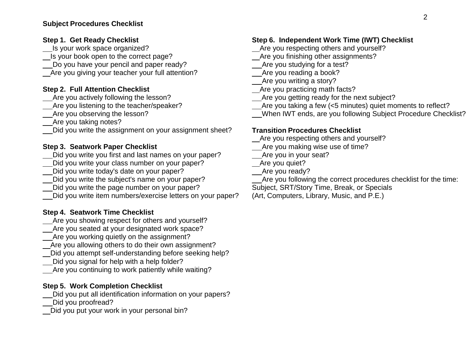#### **Subject Procedures Checklist**

#### **Step 1. Get Ready Checklist**

**Is your work space organized?** 

Is your book open to the correct page?

Do you have your pencil and paper ready?

Are you giving your teacher your full attention?

#### **Step 2. Full Attention Checklist**

Are you actively following the lesson?

Are you listening to the teacher/speaker?

Are you observing the lesson?

Are you taking notes?

Did you write the assignment on your assignment sheet?

#### **Step 3. Seatwork Paper Checklist**

Did you write you first and last names on your paper?

Did you write your class number on your paper?

- Did you write today's date on your paper?
- Did you write the subject's name on your paper?
- Did you write the page number on your paper?

Did you write item numbers/exercise letters on your paper?

#### **Step 4. Seatwork Time Checklist**

- Are you showing respect for others and yourself?
- Are you seated at your designated work space?
- Are you working quietly on the assignment?
- Are you allowing others to do their own assignment?
- Did you attempt self-understanding before seeking help?
- Did you signal for help with a help folder?
- Are you continuing to work patiently while waiting?

#### **Step 5. Work Completion Checklist**

- Did you put all identification information on your papers?
- Did you proofread?
- Did you put your work in your personal bin?

#### **Step 6. Independent Work Time (IWT) Checklist**

- Are you respecting others and yourself?
- Are you finishing other assignments?

Are you studying for a test?

Are you reading a book?

Are you writing a story?

- Are you practicing math facts?
- Are you getting ready for the next subject?
- Are you taking a few (<5 minutes) quiet moments to reflect?
- When IWT ends, are you following Subject Procedure Checklist?

#### **Transition Procedures Checklist**

- Are you respecting others and yourself?
- Are you making wise use of time?

Are you in your seat?

Are you quiet?

- \_\_Are you ready?
- Are you following the correct procedures checklist for the time: Subject, SRT/Story Time, Break, or Specials
- 

(Art, Computers, Library, Music, and P.E.)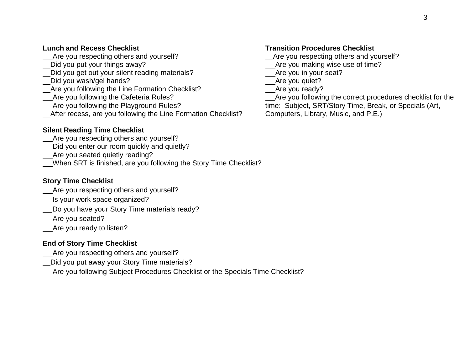#### **Lunch and Recess Checklist**

Are you respecting others and yourself?

- Did you put your things away?
- Did you get out your silent reading materials?
- Did you wash/gel hands?
- Are you following the Line Formation Checklist?
- Are you following the Cafeteria Rules?
- Are you following the Playground Rules?
- After recess, are you following the Line Formation Checklist?

## **Silent Reading Time Checklist**

- Are you respecting others and yourself?
- Did you enter our room quickly and quietly?
- Are you seated quietly reading?
- When SRT is finished, are you following the Story Time Checklist?

## **Story Time Checklist**

- Are you respecting others and yourself?
- Is your work space organized?
- Do you have your Story Time materials ready?
- Are you seated?
- Are you ready to listen?

# **End of Story Time Checklist**

- Are you respecting others and yourself?
- Did you put away your Story Time materials?
- Are you following Subject Procedures Checklist or the Specials Time Checklist?

# **Transition Procedures Checklist**

- Are you respecting others and yourself?
- Are you making wise use of time?
- Are you in your seat?
- Are you quiet?
- Are you ready?
- Are you following the correct procedures checklist for the time: Subject, SRT/Story Time, Break, or Specials (Art, Computers, Library, Music, and P.E.)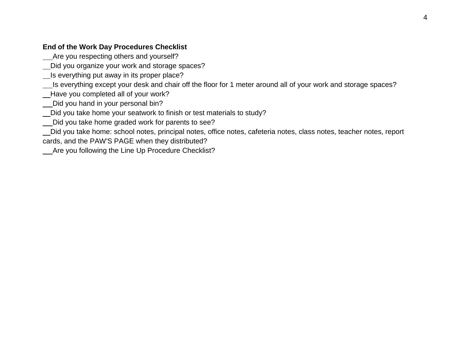### **End of the Work Day Procedures Checklist**

Are you respecting others and yourself?

Did you organize your work and storage spaces?

**Is everything put away in its proper place?** 

Is everything except your desk and chair off the floor for 1 meter around all of your work and storage spaces?

Have you completed all of your work?

Did you hand in your personal bin?

Lot you take home your seatwork to finish or test materials to study?

Did you take home graded work for parents to see?

Did you take home: school notes, principal notes, office notes, cafeteria notes, class notes, teacher notes, report cards, and the PAW'S PAGE when they distributed?

Are you following the Line Up Procedure Checklist?